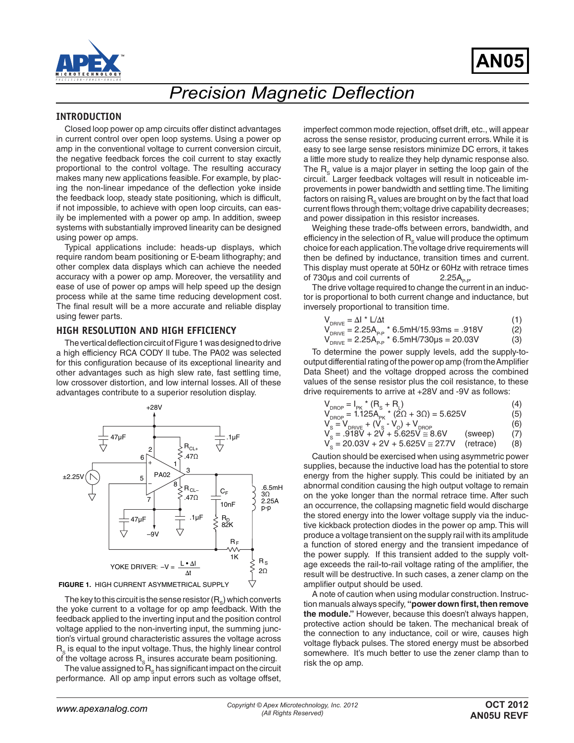

# *Precision Magnetic Deflection*

#### **INTRODUCTION**

Closed loop power op amp circuits offer distinct advantages in current control over open loop systems. Using a power op amp in the conventional voltage to current conversion circuit, the negative feedback forces the coil current to stay exactly proportional to the control voltage. The resulting accuracy makes many new applications feasible. For example, by placing the non-linear impedance of the deflection yoke inside the feedback loop, steady state positioning, which is difficult, if not impossible, to achieve with open loop circuits, can easily be implemented with a power op amp. In addition, sweep systems with substantially improved linearity can be designed using power op amps.

Typical applications include: heads-up displays, which require random beam positioning or E-beam lithography; and other complex data displays which can achieve the needed accuracy with a power op amp. Moreover, the versatility and ease of use of power op amps will help speed up the design process while at the same time reducing development cost. The final result will be a more accurate and reliable display using fewer parts.

#### **HIGH RESOLUTION AND HIGH EFFICIENCY**

The vertical deflection circuit of Figure 1 was designed to drive a high efficiency RCA CODY ll tube. The PA02 was selected for this configuration because of its exceptional linearity and other advantages such as high slew rate, fast settling time, low crossover distortion, and low internal losses. All of these advantages contribute to a superior resolution display.



The key to this circuit is the sense resistor  $(R_{\rm s})$  which converts the yoke current to a voltage for op amp feedback. With the feedback applied to the inverting input and the position control voltage applied to the non-inverting input, the summing junction's virtual ground characteristic assures the voltage across R<sub>s</sub> is equal to the input voltage. Thus, the highly linear control of the voltage across  $R_s$  insures accurate beam positioning.

The value assigned to  $R<sub>s</sub>$  has significant impact on the circuit performance. All op amp input errors such as voltage offset, imperfect common mode rejection, offset drift, etc., will appear across the sense resistor, producing current errors. While it is easy to see large sense resistors minimize DC errors, it takes a little more study to realize they help dynamic response also. The  $R_s$  value is a major player in setting the loop gain of the circuit. Larger feedback voltages will result in noticeable improvements in power bandwidth and settling time. The limiting factors on raising  $R_{\rm s}$  values are brought on by the fact that load current flows through them; voltage drive capability decreases; and power dissipation in this resistor increases.

Weighing these trade-offs between errors, bandwidth, and efficiency in the selection of  $R<sub>s</sub>$  value will produce the optimum choice for each application. The voltage drive requirements will then be defined by inductance, transition times and current. This display must operate at 50Hz or 60Hz with retrace times of 730 $\mu$ s and coil currents of 2.25 $A_{p.p}$ .

The drive voltage required to change the current in an inductor is proportional to both current change and inductance, but inversely proportional to transition time.

| $V_{DRIVE} = \Delta I * L/\Delta t$ |  |  |
|-------------------------------------|--|--|
|                                     |  |  |

$$
V_{DRIVE} = 2.25A_{P.P} * 6.5mH/15.93ms = .918V
$$
 (2)

 $V_{DRIVE} = 2.25A_{P-P}$  \* 6.5mH/730 $\mu$ s = 20.03V (3)

To determine the power supply levels, add the supply-tooutput differential rating of the power op amp (from the Amplifier Data Sheet) and the voltage dropped across the combined values of the sense resistor plus the coil resistance, to these drive requirements to arrive at +28V and -9V as follows:

| $V_{DROP} = I_{PK} * (R_s + R_l)$ |                                                   |  |
|-----------------------------------|---------------------------------------------------|--|
| $+100$<br>$\sqrt{1 + \alpha}$     | $\bigcap_{n=1}^{\infty}$ $\bigcap_{n=1}^{\infty}$ |  |

$$
V_{DROP} = 1.125A_{PK} * (2\Omega + 3\Omega) = 5.625V
$$
 (5)

 $V_{\rm s} = V_{\rm DRIVE} + (V_{\rm s} - V_{\rm o}) + V_{\rm DROP}$  (6)

$$
V_s = .918V + 2V + 5.625V \approx 8.6V \quad \text{(sweep)} \quad (7)
$$
  

$$
V_s = 20.03V + 2V + 5.625V \approx 27.7V \quad \text{(retrace)} \quad (8)
$$

Caution should be exercised when using asymmetric power supplies, because the inductive load has the potential to store energy from the higher supply. This could be initiated by an abnormal condition causing the high output voltage to remain on the yoke longer than the normal retrace time. After such an occurrence, the collapsing magnetic field would discharge the stored energy into the lower voltage supply via the inductive kickback protection diodes in the power op amp. This will produce a voltage transient on the supply rail with its amplitude a function of stored energy and the transient impedance of the power supply. If this transient added to the supply voltage exceeds the rail-to-rail voltage rating of the amplifier, the result will be destructive. In such cases, a zener clamp on the amplifier output should be used.

A note of caution when using modular construction. Instruction manuals always specify, **"power down first, then remove the module."** However, because this doesn't always happen, protective action should be taken. The mechanical break of the connection to any inductance, coil or wire, causes high voltage flyback pulses. The stored energy must be absorbed somewhere. It's much better to use the zener clamp than to risk the op amp.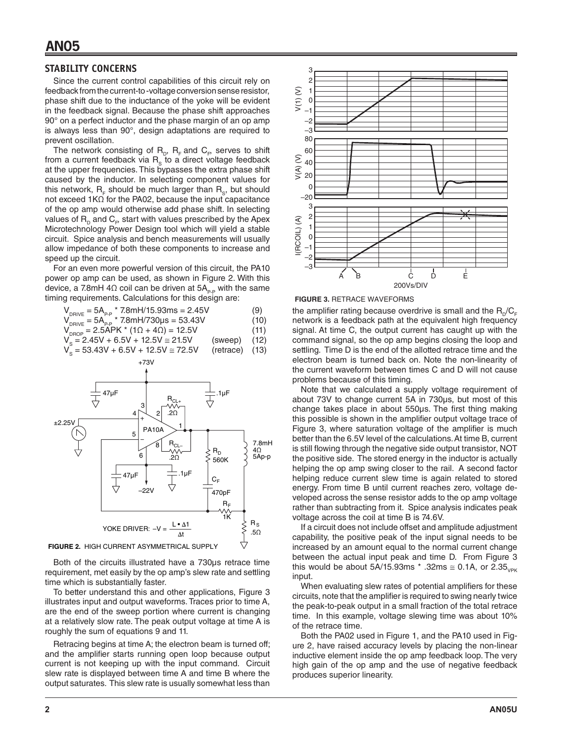#### **STABILITY CONCERNS**

Since the current control capabilities of this circuit rely on feedback from the current-to -voltage conversion sense resistor, phase shift due to the inductance of the yoke will be evident in the feedback signal. Because the phase shift approaches 90° on a perfect inductor and the phase margin of an op amp is always less than 90°, design adaptations are required to prevent oscillation.

The network consisting of  $R_{p}$ ,  $R_{F}$  and  $C_{F}$  serves to shift from a current feedback via  $R_s$  to a direct voltage feedback at the upper frequencies. This bypasses the extra phase shift caused by the inductor. In selecting component values for this network,  $R_{\rm F}$  should be much larger than  $R_{\rm s}$ , but should not exceed 1KΩ for the PA02, because the input capacitance of the op amp would otherwise add phase shift. In selecting values of  $\mathsf{R}_{_\mathsf{D}}$  and  $\mathsf{C}_\mathsf{F}$  start with values prescribed by the Apex Microtechnology Power Design tool which will yield a stable circuit. Spice analysis and bench measurements will usually allow impedance of both these components to increase and speed up the circuit.

For an even more powerful version of this circuit, the PA10 power op amp can be used, as shown in Figure 2. With this device, a 7.8mH 4 $\Omega$  coil can be driven at 5A<sub>P-P</sub> with the same timing requirements. Calculations for this design are:

$$
V_{DRIVE} = 5A_{PP} * 7.8mH/15.93ms = 2.45V
$$
 (9)

$$
V_{\text{DRIVE}} = 5A_{\text{p.p.}} * 7.8 \text{mH} / 730 \mu s = 53.43 \text{V}
$$
(10)

$$
V_{DROP} = 2.5APK * (1\Omega + 4\Omega) = 12.5V
$$
\n
$$
V_s = 2.45V + 6.5V + 12.5V \approx 21.5V
$$
\n(sweep) (12)

$$
V_s = 53.43V + 6.5V + 12.5V \approx 72.5V
$$
 (retrace) (13)

$$
+73V
$$



Both of the circuits illustrated have a 730µs retrace time requirement, met easily by the op amp's slew rate and settling time which is substantially faster.

To better understand this and other applications, Figure 3 illustrates input and output waveforms. Traces prior to time A, are the end of the sweep portion where current is changing at a relatively slow rate. The peak output voltage at time A is roughly the sum of equations 9 and 11.

Retracing begins at time A; the electron beam is turned off; and the amplifier starts running open loop because output current is not keeping up with the input command. Circuit slew rate is displayed between time A and time B where the output saturates. This slew rate is usually somewhat less than



the amplifier rating because overdrive is small and the  $R_{p}/C_{F}$ network is a feedback path at the equivalent high frequency signal. At time C, the output current has caught up with the command signal, so the op amp begins closing the loop and settling. Time D is the end of the allotted retrace time and the electron beam is turned back on. Note the non-linearity of the current waveform between times C and D will not cause problems because of this timing.

Note that we calculated a supply voltage requirement of about 73V to change current 5A in 730µs, but most of this change takes place in about 550µs. The first thing making this possible is shown in the amplifier output voltage trace of Figure 3, where saturation voltage of the amplifier is much better than the 6.5V level of the calculations. At time B, current is still flowing through the negative side output transistor, NOT the positive side. The stored energy in the inductor is actually helping the op amp swing closer to the rail. A second factor helping reduce current slew time is again related to stored energy. From time B until current reaches zero, voltage developed across the sense resistor adds to the op amp voltage rather than subtracting from it. Spice analysis indicates peak voltage across the coil at time B is 74.6V.

If a circuit does not include offset and amplitude adjustment capability, the positive peak of the input signal needs to be increased by an amount equal to the normal current change between the actual input peak and time D. From Figure 3 this would be about 5A/15.93ms  $*$  .32ms  $\approx$  0.1A, or 2.35<sub>VPK</sub> input.

When evaluating slew rates of potential amplifiers for these circuits, note that the amplifier is required to swing nearly twice the peak-to-peak output in a small fraction of the total retrace time. In this example, voltage slewing time was about 10% of the retrace time.

Both the PA02 used in Figure 1, and the PA10 used in Figure 2, have raised accuracy levels by placing the non-linear inductive element inside the op amp feedback loop. The very high gain of the op amp and the use of negative feedback produces superior linearity.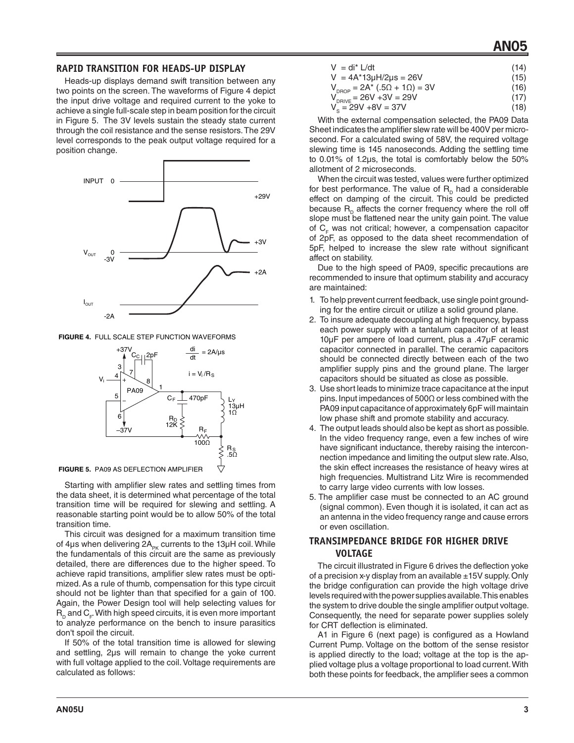## **AN05**

#### **RAPID TRANSITION FOR HEADS-UP DISPLAY**

Heads-up displays demand swift transition between any two points on the screen. The waveforms of Figure 4 depict the input drive voltage and required current to the yoke to achieve a single full-scale step in beam position for the circuit in Figure 5. The 3V levels sustain the steady state current through the coil resistance and the sense resistors. The 29V level corresponds to the peak output voltage required for a position change.



**FIGURE 4.** FULL SCALE STEP FUNCTION WAVEFORMS



**FIGURE 5.** PA09 AS DEFLECTION AMPLIFIER

Starting with amplifier slew rates and settling times from the data sheet, it is determined what percentage of the total transition time will be required for slewing and settling. A reasonable starting point would be to allow 50% of the total transition time.

This circuit was designed for a maximum transition time of 4 $\mu$ s when delivering 2 $A_{pk}$  currents to the 13 $\mu$ H coil. While the fundamentals of this circuit are the same as previously detailed, there are differences due to the higher speed. To achieve rapid transitions, amplifier slew rates must be optimized. As a rule of thumb, compensation for this type circuit should not be lighter than that specified for a gain of 100. Again, the Power Design tool will help selecting values for  $\mathsf{R}_{_\mathrm{D}}$  and  $\mathsf{C}_{_\mathrm{F}}$  With high speed circuits, it is even more important to analyze performance on the bench to insure parasitics don't spoil the circuit.

If 50% of the total transition time is allowed for slewing and settling, 2µs will remain to change the yoke current with full voltage applied to the coil. Voltage requirements are calculated as follows:

| $V = di^* L/dt$                               | (14) |
|-----------------------------------------------|------|
| $V = 4A^*13\mu H/2\mu s = 26V$                | (15) |
| $\bigcap A$ + $\bigcap$ $\bigcap$ + $\bigcap$ | (40) |

$$
V_{DROP} = 2A^* (0.5\Omega + 1\Omega) = 3V
$$
 (16)

$$
V_{\text{DRIVE}} = 26V + 3V = 29V
$$
\n
$$
V_{\text{S}} = 29V + 8V = 37V
$$
\n(17)

With the external compensation selected, the PA09 Data Sheet indicates the amplifier slew rate will be 400V per microsecond. For a calculated swing of 58V, the required voltage slewing time is 145 nanoseconds. Adding the settling time to 0.01% of 1.2µs, the total is comfortably below the 50% allotment of 2 microseconds.

When the circuit was tested, values were further optimized for best performance. The value of  $R_{\rm p}$  had a considerable effect on damping of the circuit. This could be predicted because  $R_{\rm o}$  affects the corner frequency where the roll off slope must be flattened near the unity gain point. The value of  $C_F$  was not critical; however, a compensation capacitor of 2pF, as opposed to the data sheet recommendation of 5pF, helped to increase the slew rate without significant affect on stability.

Due to the high speed of PA09, specific precautions are recommended to insure that optimum stability and accuracy are maintained:

- 1. To help prevent current feedback, use single point grounding for the entire circuit or utilize a solid ground plane.
- 2. To insure adequate decoupling at high frequency, bypass each power supply with a tantalum capacitor of at least 10µF per ampere of load current, plus a .47µF ceramic capacitor connected in parallel. The ceramic capacitors should be connected directly between each of the two amplifier supply pins and the ground plane. The larger capacitors should be situated as close as possible.
- 3. Use short leads to minimize trace capacitance at the input pins. Input impedances of 500Ω or less combined with the PA09 input capacitance of approximately 6pF will maintain low phase shift and promote stability and accuracy.
- 4. The output leads should also be kept as short as possible. In the video frequency range, even a few inches of wire have significant inductance, thereby raising the interconnection impedance and limiting the output slew rate. Also, the skin effect increases the resistance of heavy wires at high frequencies. Multistrand Litz Wire is recommended to carry large video currents with low losses.
- 5. The amplifier case must be connected to an AC ground (signal common). Even though it is isolated, it can act as an antenna in the video frequency range and cause errors or even oscillation.

### **TRANSIMPEDANCE BRIDGE FOR HIGHER DRIVE VOLTAGE**

The circuit illustrated in Figure 6 drives the deflection yoke of a precision x-y display from an available  $\pm 15V$  supply. Only the bridge configuration can provide the high voltage drive levels required with the power supplies available. This enables the system to drive double the single amplifier output voltage. Consequently, the need for separate power supplies solely for CRT deflection is eliminated.

A1 in Figure 6 (next page) is configured as a Howland Current Pump. Voltage on the bottom of the sense resistor is applied directly to the load; voltage at the top is the applied voltage plus a voltage proportional to load current. With both these points for feedback, the amplifier sees a common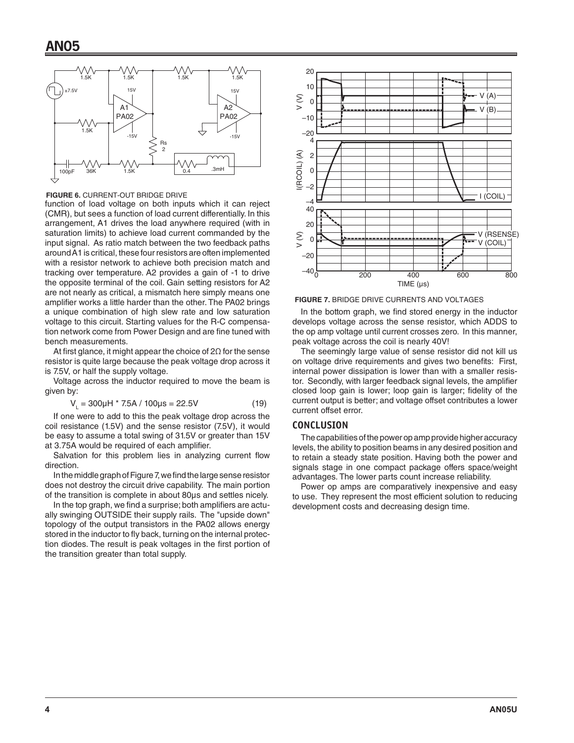

**FIGURE 6.** CURRENT-OUT BRIDGE DRIVE

function of load voltage on both inputs which it can reject (CMR), but sees a function of load current differentially. In this arrangement, A1 drives the load anywhere required (with in saturation limits) to achieve load current commanded by the input signal. As ratio match between the two feedback paths around A1 is critical, these four resistors are often implemented with a resistor network to achieve both precision match and tracking over temperature. A2 provides a gain of -1 to drive the opposite terminal of the coil. Gain setting resistors for A2 are not nearly as critical, a mismatch here simply means one amplifier works a little harder than the other. The PA02 brings a unique combination of high slew rate and low saturation voltage to this circuit. Starting values for the R-C compensation network come from Power Design and are fine tuned with bench measurements.

At first glance, it might appear the choice of  $2\Omega$  for the sense resistor is quite large because the peak voltage drop across it is 7.5V, or half the supply voltage.

Voltage across the inductor required to move the beam is given by:

$$
V_1 = 300 \mu H * 7.5 A / 100 \mu s = 22.5 V \tag{19}
$$

If one were to add to this the peak voltage drop across the coil resistance (1.5V) and the sense resistor (7.5V), it would be easy to assume a total swing of 31.5V or greater than 15V at 3.75A would be required of each amplifier.

Salvation for this problem lies in analyzing current flow direction.

In the middle graph of Figure 7, we find the large sense resistor does not destroy the circuit drive capability. The main portion of the transition is complete in about 80µs and settles nicely.

In the top graph, we find a surprise; both amplifiers are actually swinging OUTSIDE their supply rails. The "upside down" topology of the output transistors in the PA02 allows energy stored in the inductor to fly back, turning on the internal protection diodes. The result is peak voltages in the first portion of the transition greater than total supply.



**FIGURE 7.** BRIDGE DRIVE CURRENTS AND VOLTAGES

In the bottom graph, we find stored energy in the inductor develops voltage across the sense resistor, which ADDS to the op amp voltage until current crosses zero. In this manner, peak voltage across the coil is nearly 40V!

The seemingly large value of sense resistor did not kill us on voltage drive requirements and gives two benefits: First, internal power dissipation is lower than with a smaller resistor. Secondly, with larger feedback signal levels, the amplifier closed loop gain is lower; loop gain is larger; fidelity of the current output is better; and voltage offset contributes a lower current offset error.

#### **CONCLUSION**

The capabilities of the power op amp provide higher accuracy levels, the ability to position beams in any desired position and to retain a steady state position. Having both the power and signals stage in one compact package offers space/weight advantages. The lower parts count increase reliability.

Power op amps are comparatively inexpensive and easy to use. They represent the most efficient solution to reducing development costs and decreasing design time.